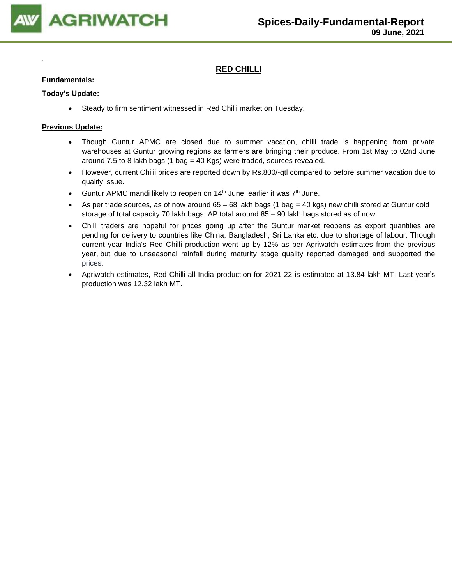

## **RED CHILLI**

#### **Fundamentals:**

#### **Today's Update:**

• Steady to firm sentiment witnessed in Red Chilli market on Tuesday.

- Though Guntur APMC are closed due to summer vacation, chilli trade is happening from private warehouses at Guntur growing regions as farmers are bringing their produce. From 1st May to 02nd June around 7.5 to 8 lakh bags (1 bag = 40 Kgs) were traded, sources revealed.
- However, current Chilii prices are reported down by Rs.800/-qtl compared to before summer vacation due to quality issue.
- Guntur APMC mandi likely to reopen on 14<sup>th</sup> June, earlier it was 7<sup>th</sup> June.
- As per trade sources, as of now around  $65 68$  lakh bags (1 bag = 40 kgs) new chilli stored at Guntur cold storage of total capacity 70 lakh bags. AP total around 85 – 90 lakh bags stored as of now.
- Chilli traders are hopeful for prices going up after the Guntur market reopens as export quantities are pending for delivery to countries like China, Bangladesh, Sri Lanka etc. due to shortage of labour. Though current year India's Red Chilli production went up by 12% as per Agriwatch estimates from the previous year, but due to unseasonal rainfall during maturity stage quality reported damaged and supported the prices.
- Agriwatch estimates, Red Chilli all India production for 2021-22 is estimated at 13.84 lakh MT. Last year's production was 12.32 lakh MT.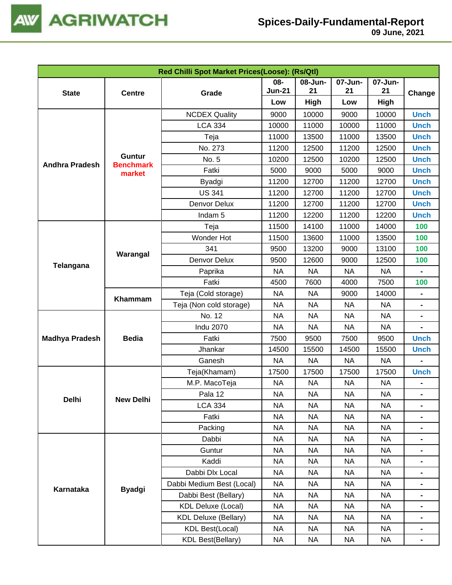

| 07-Jun-<br>08-<br>08-Jun-<br>07-Jun-<br><b>Jun-21</b><br>21<br>21<br>21<br><b>State</b><br>Grade<br><b>Centre</b><br>High<br>High<br>Low<br>Low<br>10000<br><b>Unch</b><br><b>NCDEX Quality</b><br>9000<br>9000<br>10000<br><b>LCA 334</b><br>10000<br>11000<br>10000<br>11000<br><b>Unch</b><br>11000<br>13500<br>11000<br><b>Unch</b><br>Teja<br>13500<br>No. 273<br>11200<br>12500<br>11200<br>12500<br><b>Unch</b><br>Guntur<br>No. 5<br>10200<br>12500<br><b>Unch</b><br>10200<br>12500<br><b>Andhra Pradesh</b><br><b>Benchmark</b><br>Fatki<br>5000<br>9000<br>5000<br>9000<br><b>Unch</b><br>market<br>11200<br>12700<br>11200<br>12700<br><b>Unch</b><br>Byadgi<br><b>US 341</b><br>11200<br>12700<br>11200<br>12700<br><b>Unch</b><br>11200<br>12700<br>11200<br>12700<br><b>Unch</b><br>Denvor Delux<br>11200<br>11200<br>12200<br>Indam <sub>5</sub><br>12200<br><b>Unch</b> | Red Chilli Spot Market Prices(Loose): (Rs/Qtl) |              |  |  |  |  |  |        |  |  |
|------------------------------------------------------------------------------------------------------------------------------------------------------------------------------------------------------------------------------------------------------------------------------------------------------------------------------------------------------------------------------------------------------------------------------------------------------------------------------------------------------------------------------------------------------------------------------------------------------------------------------------------------------------------------------------------------------------------------------------------------------------------------------------------------------------------------------------------------------------------------------------------|------------------------------------------------|--------------|--|--|--|--|--|--------|--|--|
|                                                                                                                                                                                                                                                                                                                                                                                                                                                                                                                                                                                                                                                                                                                                                                                                                                                                                          |                                                |              |  |  |  |  |  |        |  |  |
|                                                                                                                                                                                                                                                                                                                                                                                                                                                                                                                                                                                                                                                                                                                                                                                                                                                                                          |                                                |              |  |  |  |  |  | Change |  |  |
|                                                                                                                                                                                                                                                                                                                                                                                                                                                                                                                                                                                                                                                                                                                                                                                                                                                                                          |                                                |              |  |  |  |  |  |        |  |  |
|                                                                                                                                                                                                                                                                                                                                                                                                                                                                                                                                                                                                                                                                                                                                                                                                                                                                                          |                                                |              |  |  |  |  |  |        |  |  |
|                                                                                                                                                                                                                                                                                                                                                                                                                                                                                                                                                                                                                                                                                                                                                                                                                                                                                          |                                                |              |  |  |  |  |  |        |  |  |
|                                                                                                                                                                                                                                                                                                                                                                                                                                                                                                                                                                                                                                                                                                                                                                                                                                                                                          |                                                |              |  |  |  |  |  |        |  |  |
|                                                                                                                                                                                                                                                                                                                                                                                                                                                                                                                                                                                                                                                                                                                                                                                                                                                                                          |                                                |              |  |  |  |  |  |        |  |  |
|                                                                                                                                                                                                                                                                                                                                                                                                                                                                                                                                                                                                                                                                                                                                                                                                                                                                                          |                                                |              |  |  |  |  |  |        |  |  |
|                                                                                                                                                                                                                                                                                                                                                                                                                                                                                                                                                                                                                                                                                                                                                                                                                                                                                          |                                                |              |  |  |  |  |  |        |  |  |
|                                                                                                                                                                                                                                                                                                                                                                                                                                                                                                                                                                                                                                                                                                                                                                                                                                                                                          |                                                |              |  |  |  |  |  |        |  |  |
|                                                                                                                                                                                                                                                                                                                                                                                                                                                                                                                                                                                                                                                                                                                                                                                                                                                                                          |                                                |              |  |  |  |  |  |        |  |  |
|                                                                                                                                                                                                                                                                                                                                                                                                                                                                                                                                                                                                                                                                                                                                                                                                                                                                                          |                                                |              |  |  |  |  |  |        |  |  |
|                                                                                                                                                                                                                                                                                                                                                                                                                                                                                                                                                                                                                                                                                                                                                                                                                                                                                          |                                                |              |  |  |  |  |  |        |  |  |
| 100<br>11500<br>14100<br>11000<br>14000<br>Teja                                                                                                                                                                                                                                                                                                                                                                                                                                                                                                                                                                                                                                                                                                                                                                                                                                          |                                                |              |  |  |  |  |  |        |  |  |
| Wonder Hot<br>100<br>11500<br>13600<br>11000<br>13500                                                                                                                                                                                                                                                                                                                                                                                                                                                                                                                                                                                                                                                                                                                                                                                                                                    |                                                |              |  |  |  |  |  |        |  |  |
| 341<br>13200<br>13100<br>100<br>9500<br>9000<br>Warangal                                                                                                                                                                                                                                                                                                                                                                                                                                                                                                                                                                                                                                                                                                                                                                                                                                 |                                                |              |  |  |  |  |  |        |  |  |
| Denvor Delux<br>9500<br>12600<br>9000<br>12500<br>100                                                                                                                                                                                                                                                                                                                                                                                                                                                                                                                                                                                                                                                                                                                                                                                                                                    | <b>Telangana</b>                               |              |  |  |  |  |  |        |  |  |
| <b>NA</b><br><b>NA</b><br><b>NA</b><br><b>NA</b><br>Paprika                                                                                                                                                                                                                                                                                                                                                                                                                                                                                                                                                                                                                                                                                                                                                                                                                              |                                                |              |  |  |  |  |  |        |  |  |
| Fatki<br>4500<br>7600<br>4000<br>7500<br>100                                                                                                                                                                                                                                                                                                                                                                                                                                                                                                                                                                                                                                                                                                                                                                                                                                             |                                                |              |  |  |  |  |  |        |  |  |
| Teja (Cold storage)<br><b>NA</b><br><b>NA</b><br>14000<br>9000                                                                                                                                                                                                                                                                                                                                                                                                                                                                                                                                                                                                                                                                                                                                                                                                                           |                                                |              |  |  |  |  |  |        |  |  |
| <b>NA</b><br>Teja (Non cold storage)<br><b>NA</b><br><b>NA</b><br><b>NA</b><br>$\qquad \qquad \blacksquare$                                                                                                                                                                                                                                                                                                                                                                                                                                                                                                                                                                                                                                                                                                                                                                              |                                                | Khammam      |  |  |  |  |  |        |  |  |
| No. 12<br><b>NA</b><br><b>NA</b><br><b>NA</b><br><b>NA</b>                                                                                                                                                                                                                                                                                                                                                                                                                                                                                                                                                                                                                                                                                                                                                                                                                               |                                                |              |  |  |  |  |  |        |  |  |
| <b>Indu 2070</b><br><b>NA</b><br><b>NA</b><br><b>NA</b><br><b>NA</b>                                                                                                                                                                                                                                                                                                                                                                                                                                                                                                                                                                                                                                                                                                                                                                                                                     |                                                | <b>Bedia</b> |  |  |  |  |  |        |  |  |
| <b>Unch</b><br>Fatki<br>9500<br><b>Madhya Pradesh</b><br>7500<br>9500<br>7500                                                                                                                                                                                                                                                                                                                                                                                                                                                                                                                                                                                                                                                                                                                                                                                                            |                                                |              |  |  |  |  |  |        |  |  |
| Jhankar<br>14500<br>15500<br>14500<br><b>Unch</b><br>15500                                                                                                                                                                                                                                                                                                                                                                                                                                                                                                                                                                                                                                                                                                                                                                                                                               |                                                |              |  |  |  |  |  |        |  |  |
| Ganesh<br><b>NA</b><br><b>NA</b><br><b>NA</b><br><b>NA</b>                                                                                                                                                                                                                                                                                                                                                                                                                                                                                                                                                                                                                                                                                                                                                                                                                               |                                                |              |  |  |  |  |  |        |  |  |
| Teja(Khamam)<br>17500<br>17500<br>17500<br>17500<br><b>Unch</b>                                                                                                                                                                                                                                                                                                                                                                                                                                                                                                                                                                                                                                                                                                                                                                                                                          |                                                |              |  |  |  |  |  |        |  |  |
| M.P. MacoTeja<br><b>NA</b><br><b>NA</b><br><b>NA</b><br><b>NA</b>                                                                                                                                                                                                                                                                                                                                                                                                                                                                                                                                                                                                                                                                                                                                                                                                                        |                                                |              |  |  |  |  |  |        |  |  |
| <b>NA</b><br><b>NA</b><br><b>NA</b><br><b>NA</b><br>Pala 12                                                                                                                                                                                                                                                                                                                                                                                                                                                                                                                                                                                                                                                                                                                                                                                                                              |                                                |              |  |  |  |  |  |        |  |  |
| Delhi<br><b>New Delhi</b><br><b>LCA 334</b><br><b>NA</b><br><b>NA</b><br><b>NA</b><br><b>NA</b>                                                                                                                                                                                                                                                                                                                                                                                                                                                                                                                                                                                                                                                                                                                                                                                          |                                                |              |  |  |  |  |  |        |  |  |
| Fatki<br><b>NA</b><br><b>NA</b><br><b>NA</b><br><b>NA</b>                                                                                                                                                                                                                                                                                                                                                                                                                                                                                                                                                                                                                                                                                                                                                                                                                                |                                                |              |  |  |  |  |  |        |  |  |
| Packing<br><b>NA</b><br><b>NA</b><br><b>NA</b><br><b>NA</b>                                                                                                                                                                                                                                                                                                                                                                                                                                                                                                                                                                                                                                                                                                                                                                                                                              |                                                |              |  |  |  |  |  |        |  |  |
| Dabbi<br><b>NA</b><br><b>NA</b><br><b>NA</b><br>NA                                                                                                                                                                                                                                                                                                                                                                                                                                                                                                                                                                                                                                                                                                                                                                                                                                       |                                                |              |  |  |  |  |  |        |  |  |
| Guntur<br><b>NA</b><br><b>NA</b><br><b>NA</b><br><b>NA</b>                                                                                                                                                                                                                                                                                                                                                                                                                                                                                                                                                                                                                                                                                                                                                                                                                               |                                                |              |  |  |  |  |  |        |  |  |
| Kaddi<br><b>NA</b><br><b>NA</b><br><b>NA</b><br>NA                                                                                                                                                                                                                                                                                                                                                                                                                                                                                                                                                                                                                                                                                                                                                                                                                                       |                                                |              |  |  |  |  |  |        |  |  |
| Dabbi Dlx Local<br><b>NA</b><br><b>NA</b><br><b>NA</b><br>NA                                                                                                                                                                                                                                                                                                                                                                                                                                                                                                                                                                                                                                                                                                                                                                                                                             |                                                |              |  |  |  |  |  |        |  |  |
| Dabbi Medium Best (Local)<br><b>NA</b><br>NA<br><b>NA</b><br>NA                                                                                                                                                                                                                                                                                                                                                                                                                                                                                                                                                                                                                                                                                                                                                                                                                          |                                                |              |  |  |  |  |  |        |  |  |
| Karnataka<br><b>Byadgi</b><br>Dabbi Best (Bellary)<br><b>NA</b><br><b>NA</b><br><b>NA</b><br><b>NA</b>                                                                                                                                                                                                                                                                                                                                                                                                                                                                                                                                                                                                                                                                                                                                                                                   |                                                |              |  |  |  |  |  |        |  |  |
| <b>KDL Deluxe (Local)</b><br><b>NA</b><br><b>NA</b><br><b>NA</b><br><b>NA</b>                                                                                                                                                                                                                                                                                                                                                                                                                                                                                                                                                                                                                                                                                                                                                                                                            |                                                |              |  |  |  |  |  |        |  |  |
| <b>KDL Deluxe (Bellary)</b><br><b>NA</b><br><b>NA</b><br><b>NA</b><br><b>NA</b>                                                                                                                                                                                                                                                                                                                                                                                                                                                                                                                                                                                                                                                                                                                                                                                                          |                                                |              |  |  |  |  |  |        |  |  |
| <b>KDL Best(Local)</b><br><b>NA</b><br><b>NA</b><br><b>NA</b><br>NA                                                                                                                                                                                                                                                                                                                                                                                                                                                                                                                                                                                                                                                                                                                                                                                                                      |                                                |              |  |  |  |  |  |        |  |  |
| <b>KDL Best(Bellary)</b><br><b>NA</b><br><b>NA</b><br><b>NA</b><br><b>NA</b>                                                                                                                                                                                                                                                                                                                                                                                                                                                                                                                                                                                                                                                                                                                                                                                                             |                                                |              |  |  |  |  |  |        |  |  |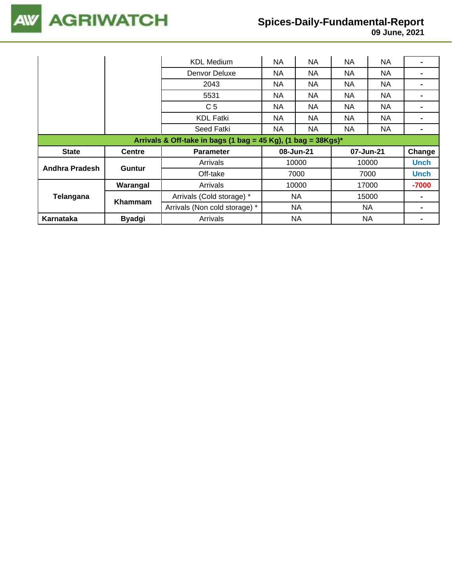

## **Spices-Daily-Fundamental-Report**

|                                                                  |                | <b>KDL Medium</b>             | <b>NA</b>              | NA        | NA        | <b>NA</b> |             |
|------------------------------------------------------------------|----------------|-------------------------------|------------------------|-----------|-----------|-----------|-------------|
|                                                                  |                | Denvor Deluxe                 | <b>NA</b>              | NA.       | NA.       | NA.       |             |
|                                                                  |                | 2043                          | <b>NA</b>              | NA.       | NA.       | NA.       |             |
|                                                                  |                | 5531                          | <b>NA</b>              | NA.       | NA.       | NA.       |             |
|                                                                  |                | C <sub>5</sub>                | <b>NA</b>              | NA.       | NA.       | NA.       |             |
|                                                                  |                | <b>KDL Fatki</b>              | <b>NA</b>              | NA.       | NA        | NA.       |             |
|                                                                  |                | Seed Fatki                    | <b>NA</b><br>NA.<br>NA |           | <b>NA</b> |           |             |
| Arrivals & Off-take in bags (1 bag = 45 Kg), (1 bag = $38Kgs$ )* |                |                               |                        |           |           |           |             |
|                                                                  |                |                               |                        |           |           |           |             |
| <b>State</b>                                                     | <b>Centre</b>  | <b>Parameter</b>              |                        | 08-Jun-21 |           | 07-Jun-21 | Change      |
|                                                                  |                | Arrivals                      |                        | 10000     |           | 10000     | <b>Unch</b> |
| Andhra Pradesh                                                   | <b>Guntur</b>  | Off-take                      |                        | 7000      |           | 7000      | Unch        |
|                                                                  | Warangal       | Arrivals                      |                        | 10000     |           | 17000     | -7000       |
| Telangana                                                        |                | Arrivals (Cold storage) *     |                        | NA        |           | 15000     |             |
|                                                                  | <b>Khammam</b> | Arrivals (Non cold storage) * |                        | NA        |           | <b>NA</b> |             |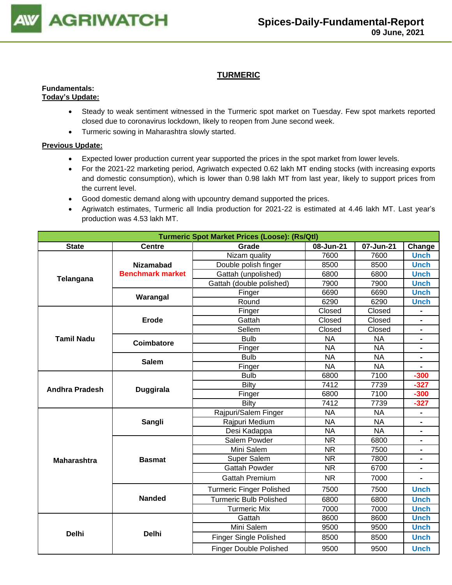

## **TURMERIC**

#### **Fundamentals: Today's Update:**

- Steady to weak sentiment witnessed in the Turmeric spot market on Tuesday. Few spot markets reported closed due to coronavirus lockdown, likely to reopen from June second week.
- Turmeric sowing in Maharashtra slowly started.

- Expected lower production current year supported the prices in the spot market from lower levels.
- For the 2021-22 marketing period, Agriwatch expected 0.62 lakh MT ending stocks (with increasing exports and domestic consumption), which is lower than 0.98 lakh MT from last year, likely to support prices from the current level.
- Good domestic demand along with upcountry demand supported the prices.
- Agriwatch estimates, Turmeric all India production for 2021-22 is estimated at 4.46 lakh MT. Last year's production was 4.53 lakh MT.

| <b>Turmeric Spot Market Prices (Loose): (Rs/Qtl)</b> |                         |                                 |           |           |                |  |  |  |  |
|------------------------------------------------------|-------------------------|---------------------------------|-----------|-----------|----------------|--|--|--|--|
| <b>State</b>                                         | <b>Centre</b>           | Grade                           | 08-Jun-21 | 07-Jun-21 | Change         |  |  |  |  |
|                                                      |                         | Nizam quality                   | 7600      | 7600      | <b>Unch</b>    |  |  |  |  |
|                                                      | <b>Nizamabad</b>        | Double polish finger            | 8500      | 8500      | <b>Unch</b>    |  |  |  |  |
| Telangana                                            | <b>Benchmark market</b> | Gattah (unpolished)             | 6800      | 6800      | <b>Unch</b>    |  |  |  |  |
|                                                      |                         | Gattah (double polished)        | 7900      | 7900      | <b>Unch</b>    |  |  |  |  |
|                                                      | Warangal                | Finger                          | 6690      | 6690      | <b>Unch</b>    |  |  |  |  |
|                                                      |                         | Round                           | 6290      | 6290      | <b>Unch</b>    |  |  |  |  |
|                                                      |                         | Finger                          | Closed    | Closed    |                |  |  |  |  |
|                                                      | Erode                   | Gattah                          | Closed    | Closed    | $\blacksquare$ |  |  |  |  |
|                                                      |                         | Sellem                          | Closed    | Closed    | $\blacksquare$ |  |  |  |  |
| <b>Tamil Nadu</b>                                    | <b>Coimbatore</b>       | <b>Bulb</b>                     | <b>NA</b> | <b>NA</b> |                |  |  |  |  |
|                                                      |                         | Finger                          | <b>NA</b> | <b>NA</b> |                |  |  |  |  |
|                                                      | <b>Salem</b>            | <b>Bulb</b>                     | <b>NA</b> | <b>NA</b> |                |  |  |  |  |
|                                                      |                         | Finger                          | <b>NA</b> | <b>NA</b> |                |  |  |  |  |
|                                                      |                         | <b>Bulb</b>                     | 6800      | 7100      | $-300$         |  |  |  |  |
| <b>Andhra Pradesh</b>                                | <b>Duggirala</b>        | Bilty                           | 7412      | 7739      | $-327$         |  |  |  |  |
|                                                      |                         | Finger                          | 6800      | 7100      | $-300$         |  |  |  |  |
|                                                      |                         | <b>Bilty</b>                    | 7412      | 7739      | $-327$         |  |  |  |  |
|                                                      |                         | Rajpuri/Salem Finger            | <b>NA</b> | <b>NA</b> |                |  |  |  |  |
|                                                      | Sangli                  | Rajpuri Medium                  | <b>NA</b> | <b>NA</b> |                |  |  |  |  |
|                                                      |                         | Desi Kadappa                    | <b>NA</b> | <b>NA</b> | $\blacksquare$ |  |  |  |  |
|                                                      |                         | Salem Powder                    | <b>NR</b> | 6800      |                |  |  |  |  |
|                                                      |                         | Mini Salem                      | <b>NR</b> | 7500      |                |  |  |  |  |
| <b>Maharashtra</b>                                   | <b>Basmat</b>           | Super Salem                     | <b>NR</b> | 7800      | $\blacksquare$ |  |  |  |  |
|                                                      |                         | <b>Gattah Powder</b>            | <b>NR</b> | 6700      | $\blacksquare$ |  |  |  |  |
|                                                      |                         | <b>Gattah Premium</b>           | <b>NR</b> | 7000      |                |  |  |  |  |
|                                                      |                         | <b>Turmeric Finger Polished</b> | 7500      | 7500      | <b>Unch</b>    |  |  |  |  |
|                                                      | <b>Nanded</b>           | <b>Turmeric Bulb Polished</b>   | 6800      | 6800      | <b>Unch</b>    |  |  |  |  |
|                                                      |                         | <b>Turmeric Mix</b>             | 7000      | 7000      | <b>Unch</b>    |  |  |  |  |
|                                                      |                         | Gattah                          | 8600      | 8600      | <b>Unch</b>    |  |  |  |  |
|                                                      |                         | Mini Salem                      | 9500      | 9500      | <b>Unch</b>    |  |  |  |  |
| <b>Delhi</b>                                         | <b>Delhi</b>            | <b>Finger Single Polished</b>   | 8500      | 8500      | <b>Unch</b>    |  |  |  |  |
|                                                      |                         | <b>Finger Double Polished</b>   | 9500      | 9500      | <b>Unch</b>    |  |  |  |  |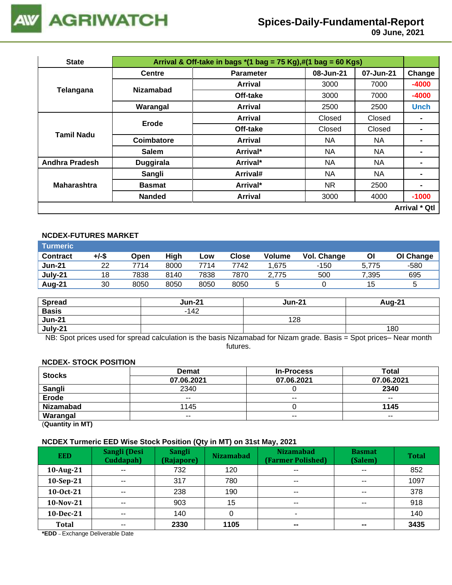

# **Spices-Daily-Fundamental-Report**

 **09 June, 2021**

| <b>State</b>          |                  | Arrival & Off-take in bags $*(1 \text{ bag} = 75 \text{ Kg}), \#(1 \text{ bag} = 60 \text{ Kg})$ |           |           |                |  |  |
|-----------------------|------------------|--------------------------------------------------------------------------------------------------|-----------|-----------|----------------|--|--|
|                       | <b>Centre</b>    | <b>Parameter</b>                                                                                 | 08-Jun-21 | 07-Jun-21 | Change         |  |  |
| Telangana             | <b>Nizamabad</b> | Arrival                                                                                          | 3000      | 7000      | $-4000$        |  |  |
|                       |                  | Off-take                                                                                         | 3000      | 7000      | $-4000$        |  |  |
|                       | Warangal         | <b>Arrival</b>                                                                                   | 2500      | 2500      | <b>Unch</b>    |  |  |
|                       | Erode            | Arrival                                                                                          | Closed    | Closed    |                |  |  |
| <b>Tamil Nadu</b>     |                  | Off-take                                                                                         | Closed    | Closed    |                |  |  |
|                       | Coimbatore       | Arrival                                                                                          | NA.       | NA.       |                |  |  |
|                       | <b>Salem</b>     | Arrival*                                                                                         | NA.       | <b>NA</b> | $\blacksquare$ |  |  |
| <b>Andhra Pradesh</b> | <b>Duggirala</b> | Arrival*                                                                                         | NA.       | NA        |                |  |  |
|                       | Sangli           | Arrival#                                                                                         | NA.       | NA        |                |  |  |
| <b>Maharashtra</b>    | <b>Basmat</b>    | Arrival*                                                                                         | NR.       | 2500      | -              |  |  |
|                       | <b>Nanded</b>    | <b>Arrival</b>                                                                                   | 3000      | 4000      | $-1000$        |  |  |
| <b>Arrival * Qtl</b>  |                  |                                                                                                  |           |           |                |  |  |

## **NCDEX-FUTURES MARKET**

| Turmeric        |       |      |      |      |       |               |             |       |           |
|-----------------|-------|------|------|------|-------|---------------|-------------|-------|-----------|
| <b>Contract</b> | +/-\$ | Open | High | Low  | Close | <b>Volume</b> | Vol. Change | Οl    | OI Change |
| <b>Jun-21</b>   | 22    | 7714 | 8000 | 7714 | 7742  | .675          | $-150$      | 5.775 | -580      |
| July-21         | 18    | 7838 | 8140 | 7838 | 7870  | 2.775         | 500         | 7,395 | 695       |
| Aug-21          | 30    | 8050 | 8050 | 8050 | 8050  |               |             | 15    | ა         |

| <b>Spread</b> | <b>Jun-21</b> | <b>Jun-21</b> | <b>Aug-21</b> |
|---------------|---------------|---------------|---------------|
| <b>Basis</b>  | $-142$        |               |               |
| <b>Jun-21</b> |               | 128           |               |
| July-21       |               |               | 180           |

NB: Spot prices used for spread calculation is the basis Nizamabad for Nizam grade. Basis = Spot prices– Near month futures.

#### **NCDEX- STOCK POSITION**

| <b>Stocks</b>    | <b>Demat</b> | <b>In-Process</b> | <b>Total</b> |
|------------------|--------------|-------------------|--------------|
|                  | 07.06.2021   | 07.06.2021        | 07.06.2021   |
| <b>Sangli</b>    | 2340         |                   | 2340         |
| <b>Erode</b>     | $- -$        | $- -$             | $- -$        |
| <b>Nizamabad</b> | 1145         |                   | 1145         |
| Warangal         | $- -$        | $- -$             | $- -$        |
|                  |              |                   |              |

(**Quantity in MT)**

#### **NCDEX Turmeric EED Wise Stock Position (Qty in MT) on 31st May, 2021**

| <b>EED</b> | Sangli (Desi<br>Cuddapah) | <b>Sangli</b><br>(Rajapore) | <b>Nizamabad</b> | <b>Nizamabad</b><br>(Farmer Polished) | <b>Basmat</b><br>(Salem) | <b>Total</b> |
|------------|---------------------------|-----------------------------|------------------|---------------------------------------|--------------------------|--------------|
| 10-Aug-21  | $- -$                     | 732                         | 120              | $\sim$ $\sim$                         | $\sim$ $\sim$            | 852          |
| 10-Sep-21  | $\sim$ $\sim$             | 317                         | 780              | $\sim$ $\sim$                         | $\sim$ $\sim$            | 1097         |
| 10-0ct-21  | $\sim$ $\sim$             | 238                         | 190              | $\sim$ $\sim$                         | $\sim$ $\sim$            | 378          |
| 10-Nov-21  | $- -$                     | 903                         | 15               | $\sim$ $\sim$                         | $- -$                    | 918          |
| 10-Dec-21  | $- -$                     | 140                         |                  |                                       |                          | 140          |
| Total      | $\overline{\phantom{a}}$  | 2330                        | 1105             | $\qquad \qquad \blacksquare$          | $\sim$                   | 3435         |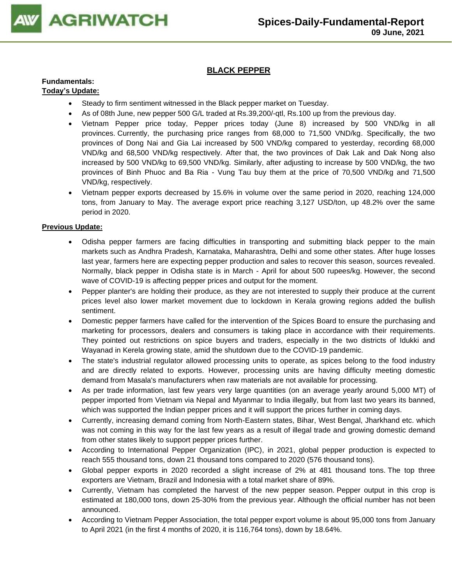

## **BLACK PEPPER**

## **Fundamentals:**

## **Today's Update:**

- Steady to firm sentiment witnessed in the Black pepper market on Tuesday.
- As of 08th June, new pepper 500 G/L traded at Rs.39,200/-qtl, Rs.100 up from the previous day.
- Vietnam Pepper price today, Pepper prices today (June 8) increased by 500 VND/kg in all provinces. Currently, the purchasing price ranges from 68,000 to 71,500 VND/kg. Specifically, the two provinces of Dong Nai and Gia Lai increased by 500 VND/kg compared to yesterday, recording 68,000 VND/kg and 68,500 VND/kg respectively. After that, the two provinces of Dak Lak and Dak Nong also increased by 500 VND/kg to 69,500 VND/kg. Similarly, after adjusting to increase by 500 VND/kg, the two provinces of Binh Phuoc and Ba Ria - Vung Tau buy them at the price of 70,500 VND/kg and 71,500 VND/kg, respectively.
- Vietnam pepper exports decreased by 15.6% in volume over the same period in 2020, reaching 124,000 tons, from January to May. The average export price reaching 3,127 USD/ton, up 48.2% over the same period in 2020.

- Odisha pepper farmers are facing difficulties in transporting and submitting black pepper to the main markets such as Andhra Pradesh, Karnataka, Maharashtra, Delhi and some other states. After huge losses last year, farmers here are expecting pepper production and sales to recover this season, sources revealed. Normally, black pepper in Odisha state is in March - April for about 500 rupees/kg. However, the second wave of COVID-19 is affecting pepper prices and output for the moment.
- Pepper planter's are holding their produce, as they are not interested to supply their produce at the current prices level also lower market movement due to lockdown in Kerala growing regions added the bullish sentiment.
- Domestic pepper farmers have called for the intervention of the Spices Board to ensure the purchasing and marketing for processors, dealers and consumers is taking place in accordance with their requirements. They pointed out restrictions on spice buyers and traders, especially in the two districts of Idukki and Wayanad in Kerela growing state, amid the shutdown due to the COVID-19 pandemic.
- The state's industrial regulator allowed processing units to operate, as spices belong to the food industry and are directly related to exports. However, processing units are having difficulty meeting domestic demand from Masala's manufacturers when raw materials are not available for processing.
- As per trade information, last few years very large quantities (on an average yearly around 5,000 MT) of pepper imported from Vietnam via Nepal and Myanmar to India illegally, but from last two years its banned, which was supported the Indian pepper prices and it will support the prices further in coming days.
- Currently, increasing demand coming from North-Eastern states, Bihar, West Bengal, Jharkhand etc. which was not coming in this way for the last few years as a result of illegal trade and growing domestic demand from other states likely to support pepper prices further.
- According to International Pepper Organization (IPC), in 2021, global pepper production is expected to reach 555 thousand tons, down 21 thousand tons compared to 2020 (576 thousand tons).
- Global pepper exports in 2020 recorded a slight increase of 2% at 481 thousand tons. The top three exporters are Vietnam, Brazil and Indonesia with a total market share of 89%.
- Currently, Vietnam has completed the harvest of the new pepper season. Pepper output in this crop is estimated at 180,000 tons, down 25-30% from the previous year. Although the official number has not been announced.
- According to Vietnam Pepper Association, the total pepper export volume is about 95,000 tons from January to April 2021 (in the first 4 months of 2020, it is 116,764 tons), down by 18.64%.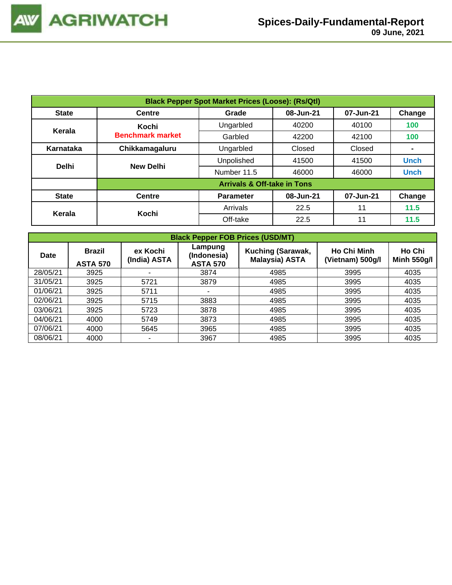| <b>Black Pepper Spot Market Prices (Loose): (Rs/Qtl)</b> |                                        |                                           |           |           |                |  |  |  |  |  |
|----------------------------------------------------------|----------------------------------------|-------------------------------------------|-----------|-----------|----------------|--|--|--|--|--|
| <b>State</b>                                             | <b>Centre</b>                          | 08-Jun-21<br>Change<br>07-Jun-21<br>Grade |           |           |                |  |  |  |  |  |
| Kerala                                                   | Kochi                                  | Ungarbled                                 | 40200     | 40100     | 100            |  |  |  |  |  |
|                                                          | <b>Benchmark market</b>                | Garbled                                   | 42200     | 42100     | 100            |  |  |  |  |  |
| Karnataka                                                | Chikkamagaluru                         | Ungarbled                                 | Closed    | Closed    | $\blacksquare$ |  |  |  |  |  |
| <b>Delhi</b>                                             | <b>New Delhi</b>                       | Unpolished                                | 41500     | 41500     | <b>Unch</b>    |  |  |  |  |  |
|                                                          |                                        | Number 11.5                               | 46000     | 46000     | <b>Unch</b>    |  |  |  |  |  |
|                                                          | <b>Arrivals &amp; Off-take in Tons</b> |                                           |           |           |                |  |  |  |  |  |
| <b>State</b>                                             | <b>Centre</b>                          | <b>Parameter</b>                          | 08-Jun-21 | 07-Jun-21 | Change         |  |  |  |  |  |
| Kerala                                                   | Kochi                                  | Arrivals                                  | 22.5      | 11        | 11.5           |  |  |  |  |  |
|                                                          |                                        | Off-take                                  | 22.5      | 11        | 11.5           |  |  |  |  |  |

| <b>Black Pepper FOB Prices (USD/MT)</b> |                                  |                          |                                           |                                            |                                        |                              |  |  |  |  |
|-----------------------------------------|----------------------------------|--------------------------|-------------------------------------------|--------------------------------------------|----------------------------------------|------------------------------|--|--|--|--|
| Date                                    | <b>Brazil</b><br><b>ASTA 570</b> | ex Kochi<br>(India) ASTA | Lampung<br>(Indonesia)<br><b>ASTA 570</b> | Kuching (Sarawak,<br><b>Malaysia) ASTA</b> | <b>Ho Chi Minh</b><br>(Vietnam) 500g/l | Ho Chi<br><b>Minh 550g/l</b> |  |  |  |  |
| 28/05/21                                | 3925                             |                          | 3874                                      | 4985                                       | 3995                                   | 4035                         |  |  |  |  |
| 31/05/21                                | 3925                             | 5721                     | 3879                                      | 4985                                       | 3995                                   | 4035                         |  |  |  |  |
| 01/06/21                                | 3925                             | 5711                     |                                           | 4985                                       | 3995                                   | 4035                         |  |  |  |  |
| 02/06/21                                | 3925                             | 5715                     | 3883                                      | 4985                                       | 3995                                   | 4035                         |  |  |  |  |
| 03/06/21                                | 3925                             | 5723                     | 3878                                      | 4985                                       | 3995                                   | 4035                         |  |  |  |  |
| 04/06/21                                | 4000                             | 5749                     | 3873                                      | 4985                                       | 3995                                   | 4035                         |  |  |  |  |
| 07/06/21                                | 4000                             | 5645                     | 3965                                      | 4985                                       | 3995                                   | 4035                         |  |  |  |  |
| 08/06/21                                | 4000                             |                          | 3967                                      | 4985                                       | 3995                                   | 4035                         |  |  |  |  |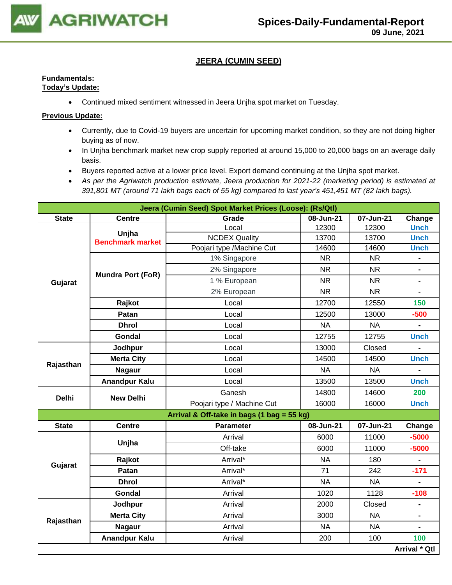

## **JEERA (CUMIN SEED)**

## **Fundamentals: Today's Update:**

• Continued mixed sentiment witnessed in Jeera Unjha spot market on Tuesday.

- Currently, due to Covid-19 buyers are uncertain for upcoming market condition, so they are not doing higher buying as of now.
- In Unjha benchmark market new crop supply reported at around 15,000 to 20,000 bags on an average daily basis.
- Buyers reported active at a lower price level. Export demand continuing at the Unjha spot market.
- *As per the Agriwatch production estimate, Jeera production for 2021-22 (marketing period) is estimated at 391,801 MT (around 71 lakh bags each of 55 kg) compared to last year's 451,451 MT (82 lakh bags).*

|              | Jeera (Cumin Seed) Spot Market Prices (Loose): (Rs/Qtl) |                                            |           |           |                      |  |  |  |  |
|--------------|---------------------------------------------------------|--------------------------------------------|-----------|-----------|----------------------|--|--|--|--|
| <b>State</b> | <b>Centre</b>                                           | Grade                                      | 08-Jun-21 | 07-Jun-21 | Change               |  |  |  |  |
|              | Unjha                                                   | Local                                      | 12300     | 12300     | <b>Unch</b>          |  |  |  |  |
|              | <b>Benchmark market</b>                                 | <b>NCDEX Quality</b>                       | 13700     | 13700     | <b>Unch</b>          |  |  |  |  |
|              |                                                         | Poojari type /Machine Cut                  | 14600     | 14600     | <b>Unch</b>          |  |  |  |  |
|              |                                                         | 1% Singapore                               | <b>NR</b> | <b>NR</b> |                      |  |  |  |  |
|              | <b>Mundra Port (FoR)</b>                                | 2% Singapore                               | <b>NR</b> | <b>NR</b> | $\blacksquare$       |  |  |  |  |
| Gujarat      |                                                         | 1 % European                               | <b>NR</b> | <b>NR</b> |                      |  |  |  |  |
|              |                                                         | 2% European                                | <b>NR</b> | <b>NR</b> |                      |  |  |  |  |
|              | Rajkot                                                  | Local                                      | 12700     | 12550     | 150                  |  |  |  |  |
|              | Patan                                                   | Local                                      | 12500     | 13000     | $-500$               |  |  |  |  |
|              | <b>Dhrol</b>                                            | Local                                      | <b>NA</b> | <b>NA</b> |                      |  |  |  |  |
|              | Gondal                                                  | Local                                      | 12755     | 12755     | <b>Unch</b>          |  |  |  |  |
|              | Jodhpur                                                 | Local                                      | 13000     | Closed    |                      |  |  |  |  |
| Rajasthan    | <b>Merta City</b>                                       | Local                                      | 14500     | 14500     | <b>Unch</b>          |  |  |  |  |
|              | <b>Nagaur</b>                                           | Local                                      | <b>NA</b> | <b>NA</b> |                      |  |  |  |  |
|              | <b>Anandpur Kalu</b>                                    | Local                                      | 13500     | 13500     | <b>Unch</b>          |  |  |  |  |
| <b>Delhi</b> | <b>New Delhi</b>                                        | Ganesh                                     | 14800     | 14600     | 200                  |  |  |  |  |
|              |                                                         | Poojari type / Machine Cut                 | 16000     | 16000     | <b>Unch</b>          |  |  |  |  |
|              |                                                         | Arrival & Off-take in bags (1 bag = 55 kg) |           |           |                      |  |  |  |  |
| <b>State</b> | <b>Centre</b>                                           | <b>Parameter</b>                           | 08-Jun-21 | 07-Jun-21 | Change               |  |  |  |  |
|              | Unjha                                                   | Arrival                                    | 6000      | 11000     | $-5000$              |  |  |  |  |
|              |                                                         | Off-take                                   | 6000      | 11000     | $-5000$              |  |  |  |  |
|              | Rajkot                                                  | Arrival*                                   | <b>NA</b> | 180       |                      |  |  |  |  |
| Gujarat      | Patan                                                   | Arrival*                                   | 71        | 242       | $-171$               |  |  |  |  |
|              | <b>Dhrol</b>                                            | Arrival*                                   | <b>NA</b> | <b>NA</b> |                      |  |  |  |  |
|              | <b>Gondal</b>                                           | Arrival                                    | 1020      | 1128      | $-108$               |  |  |  |  |
|              | Jodhpur                                                 | Arrival                                    | 2000      | Closed    | $\blacksquare$       |  |  |  |  |
|              | <b>Merta City</b>                                       | Arrival                                    | 3000      | <b>NA</b> |                      |  |  |  |  |
| Rajasthan    | <b>Nagaur</b>                                           | Arrival                                    | <b>NA</b> | <b>NA</b> |                      |  |  |  |  |
|              | <b>Anandpur Kalu</b>                                    | Arrival                                    | 200       | 100       | 100                  |  |  |  |  |
|              |                                                         |                                            |           |           | <b>Arrival * Qtl</b> |  |  |  |  |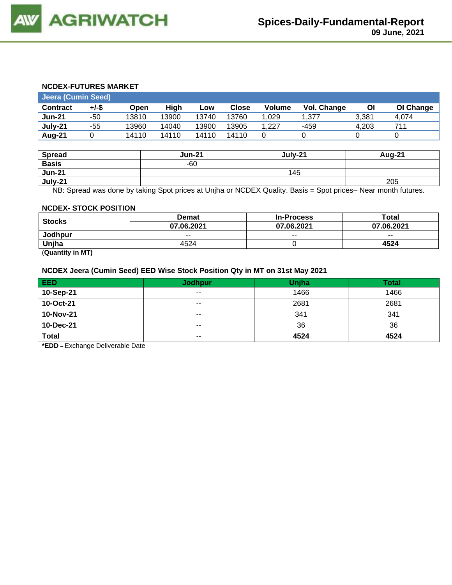#### **NCDEX-FUTURES MARKET**

| <b>Jeera (Cumin Seed)</b> |       |       |       |       |       |               |             |       |           |
|---------------------------|-------|-------|-------|-------|-------|---------------|-------------|-------|-----------|
| <b>Contract</b>           | +/-\$ | Open  | High  | Low   | Close | <b>Volume</b> | Vol. Change | ΟI    | OI Change |
| <b>Jun-21</b>             | -50   | 13810 | 13900 | 13740 | 13760 | 1.029         | 1.377       | 3.381 | 4,074     |
| July-21                   | -55   | 13960 | 14040 | 13900 | 13905 | 1.227         | -459        | 4.203 | 711       |
| Aug-21                    |       | 14110 | 14110 | 14110 | 14110 |               |             |       |           |

| <b>Spread</b> | <b>Jun-21</b> | July-21 | <b>Aug-21</b> |
|---------------|---------------|---------|---------------|
| <b>Basis</b>  | $-60$         |         |               |
| <b>Jun-21</b> |               | 145     |               |
| July-21       |               |         | 205           |

NB: Spread was done by taking Spot prices at Unjha or NCDEX Quality. Basis = Spot prices– Near month futures.

#### **NCDEX- STOCK POSITION**

|                                                                 | <b>Demat</b> | <b>In-Process</b> | Total      |
|-----------------------------------------------------------------|--------------|-------------------|------------|
| <b>Stocks</b>                                                   | 07.06.2021   | 07.06.2021        | 07.06.2021 |
| Jodhpur                                                         | $- -$        | $- -$             | $- -$      |
| Unjha                                                           | 4524         |                   | 4524       |
| $\mathbf{A}$ and $\mathbf{A}$ and $\mathbf{A}$ and $\mathbf{A}$ |              |                   |            |

(**Quantity in MT)**

#### **NCDEX Jeera (Cumin Seed) EED Wise Stock Position Qty in MT on 31st May 2021**

| <b>EED</b>   | <b>Jodhpur</b> | Unjha | Total |
|--------------|----------------|-------|-------|
| 10-Sep-21    | $- -$          | 1466  | 1466  |
| 10-Oct-21    | $- -$          | 2681  | 2681  |
| 10-Nov-21    | $- -$          | 341   | 341   |
| 10-Dec-21    | $- -$          | 36    | 36    |
| <b>Total</b> | $- -$          | 4524  | 4524  |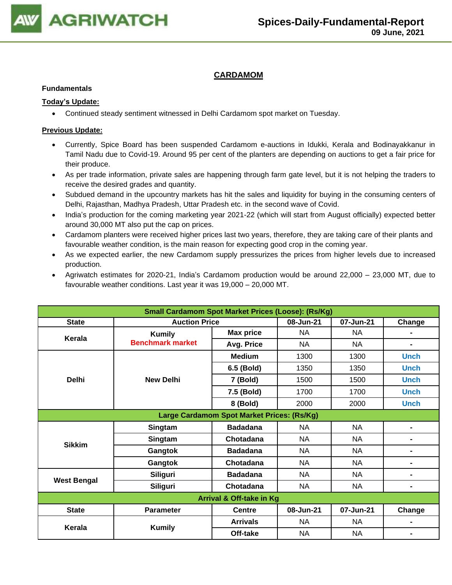

## **CARDAMOM**

#### **Fundamentals**

### **Today's Update:**

• Continued steady sentiment witnessed in Delhi Cardamom spot market on Tuesday.

- Currently, Spice Board has been suspended Cardamom e-auctions in Idukki, Kerala and Bodinayakkanur in Tamil Nadu due to Covid-19. Around 95 per cent of the planters are depending on auctions to get a fair price for their produce.
- As per trade information, private sales are happening through farm gate level, but it is not helping the traders to receive the desired grades and quantity.
- Subdued demand in the upcountry markets has hit the sales and liquidity for buying in the consuming centers of Delhi, Rajasthan, Madhya Pradesh, Uttar Pradesh etc. in the second wave of Covid.
- India's production for the coming marketing year 2021-22 (which will start from August officially) expected better around 30,000 MT also put the cap on prices.
- Cardamom planters were received higher prices last two years, therefore, they are taking care of their plants and favourable weather condition, is the main reason for expecting good crop in the coming year.
- As we expected earlier, the new Cardamom supply pressurizes the prices from higher levels due to increased production.
- Agriwatch estimates for 2020-21, India's Cardamom production would be around 22,000 23,000 MT, due to favourable weather conditions. Last year it was 19,000 – 20,000 MT.

| <b>Small Cardamom Spot Market Prices (Loose): (Rs/Kg)</b> |                         |                                            |           |           |                |  |  |
|-----------------------------------------------------------|-------------------------|--------------------------------------------|-----------|-----------|----------------|--|--|
| <b>State</b>                                              | <b>Auction Price</b>    |                                            | 08-Jun-21 | 07-Jun-21 | Change         |  |  |
| Kerala                                                    | <b>Kumily</b>           | <b>Max price</b>                           | <b>NA</b> | <b>NA</b> |                |  |  |
|                                                           | <b>Benchmark market</b> | Avg. Price                                 | <b>NA</b> | <b>NA</b> | -              |  |  |
|                                                           |                         | <b>Medium</b>                              | 1300      | 1300      | <b>Unch</b>    |  |  |
|                                                           |                         | 6.5 (Bold)                                 | 1350      | 1350      | <b>Unch</b>    |  |  |
| <b>Delhi</b>                                              | <b>New Delhi</b>        | 7 (Bold)                                   | 1500      | 1500      | <b>Unch</b>    |  |  |
|                                                           |                         | 7.5 (Bold)                                 | 1700      | 1700      | <b>Unch</b>    |  |  |
|                                                           |                         | 8 (Bold)                                   | 2000      | 2000      | <b>Unch</b>    |  |  |
|                                                           |                         | Large Cardamom Spot Market Prices: (Rs/Kg) |           |           |                |  |  |
|                                                           | Singtam                 | <b>Badadana</b>                            | NA        | <b>NA</b> | $\blacksquare$ |  |  |
| <b>Sikkim</b>                                             | Singtam                 | Chotadana                                  | NA        | NA        | $\blacksquare$ |  |  |
|                                                           | Gangtok                 | <b>Badadana</b>                            | NA        | NA        | ۰              |  |  |
|                                                           | Gangtok                 | Chotadana                                  | NA.       | NA        | ۰              |  |  |
|                                                           | <b>Siliguri</b>         | <b>Badadana</b>                            | <b>NA</b> | <b>NA</b> | $\blacksquare$ |  |  |
| <b>West Bengal</b>                                        | <b>Siliguri</b>         | Chotadana                                  | NA        | <b>NA</b> | -              |  |  |
| Arrival & Off-take in Kg                                  |                         |                                            |           |           |                |  |  |
| <b>State</b>                                              | <b>Parameter</b>        | <b>Centre</b>                              | 08-Jun-21 | 07-Jun-21 | Change         |  |  |
| Kerala                                                    | <b>Kumily</b>           | <b>Arrivals</b>                            | <b>NA</b> | <b>NA</b> | $\blacksquare$ |  |  |
|                                                           |                         | Off-take                                   | <b>NA</b> | <b>NA</b> | $\blacksquare$ |  |  |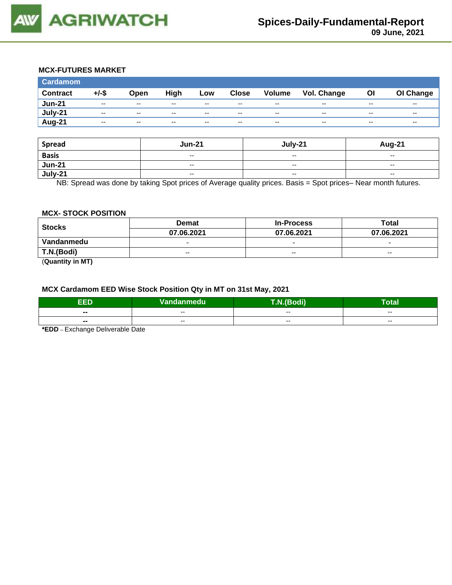

## **MCX-FUTURES MARKET**

| <b>Cardamom</b> |                          |       |       |       |              |                          |             |                          |                          |
|-----------------|--------------------------|-------|-------|-------|--------------|--------------------------|-------------|--------------------------|--------------------------|
| <b>Contract</b> | $+/-$ \$                 | Open  | High  | Low   | <b>Close</b> | Volume                   | Vol. Change | <b>OI</b>                | OI Change                |
| <b>Jun-21</b>   | $\overline{\phantom{a}}$ | $- -$ | $- -$ | $- -$ | $- -$        | $\overline{\phantom{a}}$ | $- -$       | $\overline{\phantom{a}}$ | $- -$                    |
| July-21         | $- -$                    | $- -$ | $- -$ | $- -$ | $- -$        | $\overline{\phantom{a}}$ | $- -$       | $\overline{\phantom{a}}$ | $\overline{\phantom{a}}$ |
| Aug-21          | $- -$                    | $-$   | $- -$ | $- -$ | $- -$        | $\overline{\phantom{m}}$ | $- -$       | $- -$                    | $-$                      |

| <b>Spread</b> | <b>Jun-21</b>            | July-21                  | Aug-21                   |
|---------------|--------------------------|--------------------------|--------------------------|
| <b>Basis</b>  | $\overline{\phantom{a}}$ | $\overline{\phantom{a}}$ | $\overline{\phantom{a}}$ |
| <b>Jun-21</b> | $- -$                    | $\sim$ $\sim$            | $-$                      |
| $July-21$     | $\overline{\phantom{a}}$ | $\overline{\phantom{a}}$ | $\overline{\phantom{a}}$ |

NB: Spread was done by taking Spot prices of Average quality prices. Basis = Spot prices– Near month futures.

#### **MCX- STOCK POSITION**

| <b>Stocks</b> | <b>Demat</b>             | <b>In-Process</b>        | Total                    |  |
|---------------|--------------------------|--------------------------|--------------------------|--|
|               | 07.06.2021               | 07.06.2021               | 07.06.2021               |  |
| Vandanmedu    | $\overline{\phantom{0}}$ | $\overline{\phantom{0}}$ | $\overline{\phantom{0}}$ |  |
| T.N.(Bodi)    | $- -$                    | $- -$                    | $- -$                    |  |

(**Quantity in MT)**

#### **MCX Cardamom EED Wise Stock Position Qty in MT on 31st May, 2021**

| EED            | Vandanmedu | --<br>$\sqrt{2}$ | -<br>Total |
|----------------|------------|------------------|------------|
| $\blacksquare$ | $- -$      | --               | $- -$      |
| $\blacksquare$ | --         | --               | $- -$      |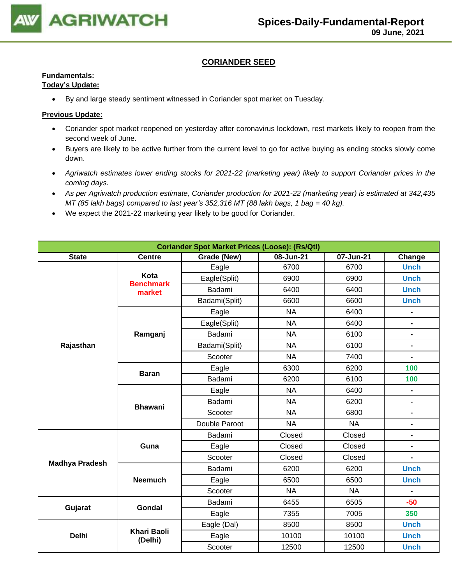

## **CORIANDER SEED**

## **Fundamentals:**

## **Today's Update:**

• By and large steady sentiment witnessed in Coriander spot market on Tuesday.

- Coriander spot market reopened on yesterday after coronavirus lockdown, rest markets likely to reopen from the second week of June.
- Buyers are likely to be active further from the current level to go for active buying as ending stocks slowly come down.
- *Agriwatch estimates lower ending stocks for 2021-22 (marketing year) likely to support Coriander prices in the coming days.*
- *As per Agriwatch production estimate, Coriander production for 2021-22 (marketing year) is estimated at 342,435 MT (85 lakh bags) compared to last year's 352,316 MT (88 lakh bags, 1 bag = 40 kg).*
- We expect the 2021-22 marketing year likely to be good for Coriander.

| <b>Coriander Spot Market Prices (Loose): (Rs/Qtl)</b> |                               |               |           |           |                              |  |  |
|-------------------------------------------------------|-------------------------------|---------------|-----------|-----------|------------------------------|--|--|
| <b>State</b>                                          | <b>Centre</b>                 | Grade (New)   | 08-Jun-21 |           | Change                       |  |  |
|                                                       |                               | Eagle         | 6700      | 6700      | <b>Unch</b>                  |  |  |
|                                                       | Kota<br><b>Benchmark</b>      | Eagle(Split)  | 6900      | 6900      | <b>Unch</b>                  |  |  |
|                                                       | market                        | Badami        | 6400      | 6400      | <b>Unch</b>                  |  |  |
|                                                       |                               | Badami(Split) | 6600      | 6600      | <b>Unch</b>                  |  |  |
|                                                       |                               | Eagle         | <b>NA</b> | 6400      | $\qquad \qquad \blacksquare$ |  |  |
|                                                       |                               | Eagle(Split)  | <b>NA</b> | 6400      | $\qquad \qquad \blacksquare$ |  |  |
|                                                       | Ramganj                       | Badami        | <b>NA</b> | 6100      | $\blacksquare$               |  |  |
| Rajasthan                                             |                               | Badami(Split) | <b>NA</b> | 6100      | $\qquad \qquad \blacksquare$ |  |  |
|                                                       |                               | Scooter       | <b>NA</b> | 7400      | $\blacksquare$               |  |  |
|                                                       |                               | Eagle         | 6300      | 6200      | 100                          |  |  |
|                                                       | <b>Baran</b>                  | Badami        | 6200      | 6100      | 100                          |  |  |
|                                                       |                               | Eagle         | <b>NA</b> | 6400      | $\blacksquare$               |  |  |
|                                                       | <b>Bhawani</b>                | Badami        | <b>NA</b> | 6200      | $\blacksquare$               |  |  |
|                                                       |                               | Scooter       | <b>NA</b> | 6800      | $\blacksquare$               |  |  |
|                                                       |                               | Double Paroot | <b>NA</b> | <b>NA</b> | $\qquad \qquad \blacksquare$ |  |  |
|                                                       |                               | Badami        | Closed    | Closed    | $\blacksquare$               |  |  |
|                                                       | Guna                          | Eagle         | Closed    | Closed    | -                            |  |  |
|                                                       |                               | Scooter       | Closed    | Closed    |                              |  |  |
| <b>Madhya Pradesh</b>                                 |                               | Badami        | 6200      | 6200      | <b>Unch</b>                  |  |  |
|                                                       | <b>Neemuch</b>                | Eagle         | 6500      | 6500      | <b>Unch</b>                  |  |  |
|                                                       |                               | Scooter       | <b>NA</b> | <b>NA</b> |                              |  |  |
|                                                       | Gondal                        | Badami        | 6455      | 6505      | $-50$                        |  |  |
| Gujarat                                               |                               | Eagle         | 7355      | 7005      | 350                          |  |  |
|                                                       |                               | Eagle (Dal)   | 8500      | 8500      | <b>Unch</b>                  |  |  |
| <b>Delhi</b>                                          | <b>Khari Baoli</b><br>(Delhi) | Eagle         | 10100     | 10100     | <b>Unch</b>                  |  |  |
|                                                       |                               | Scooter       | 12500     | 12500     | <b>Unch</b>                  |  |  |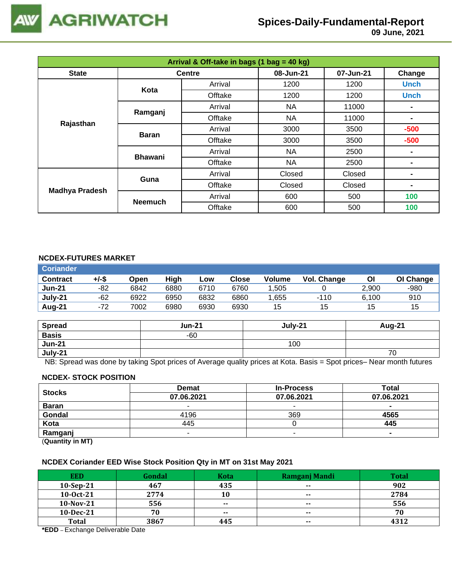

# **Spices-Daily-Fundamental-Report**

 **09 June, 2021**

| Arrival & Off-take in bags (1 bag = 40 kg) |                |               |           |           |             |  |
|--------------------------------------------|----------------|---------------|-----------|-----------|-------------|--|
| <b>State</b>                               |                | <b>Centre</b> | 08-Jun-21 | 07-Jun-21 | Change      |  |
|                                            | Kota           | Arrival       | 1200      | 1200      | <b>Unch</b> |  |
|                                            |                | Offtake       | 1200      | 1200      | <b>Unch</b> |  |
|                                            | Ramganj        | Arrival       | NA.       | 11000     |             |  |
|                                            |                | Offtake       | <b>NA</b> | 11000     | ۰           |  |
| Rajasthan                                  | <b>Baran</b>   | Arrival       | 3000      | 3500      | $-500$      |  |
|                                            |                | Offtake       | 3000      | 3500      | $-500$      |  |
|                                            | <b>Bhawani</b> | Arrival       | NA        | 2500      | ٠           |  |
|                                            |                | Offtake       | NA        | 2500      | ۰           |  |
|                                            | Guna           | Arrival       | Closed    | Closed    |             |  |
| <b>Madhya Pradesh</b>                      |                | Offtake       | Closed    | Closed    | ۰           |  |
|                                            | <b>Neemuch</b> | Arrival       | 600       | 500       | 100         |  |
|                                            |                | Offtake       | 600       | 500       | 100         |  |

## **NCDEX-FUTURES MARKET**

| <b>Coriander</b> |       |      |      |      |       |        |             |       |           |
|------------------|-------|------|------|------|-------|--------|-------------|-------|-----------|
| <b>Contract</b>  | +/-\$ | Open | High | Low  | Close | Volume | Vol. Change | Οl    | OI Change |
| <b>Jun-21</b>    | -82   | 6842 | 6880 | 6710 | 6760  | .505   |             | 2,900 | $-980$    |
| July-21          | $-62$ | 6922 | 6950 | 6832 | 6860  | .655   | $-110$      | 6.100 | 910       |
| Aug-21           | $-72$ | 7002 | 6980 | 6930 | 6930  | 15     | 15          | 15    | 15        |

| <b>Spread</b> | <b>Jun-21</b> | July-21 | Aug-21 |
|---------------|---------------|---------|--------|
| <b>Basis</b>  | $-60$         |         |        |
| <b>Jun-21</b> |               | 100     |        |
| July-21       |               |         | 70     |

NB: Spread was done by taking Spot prices of Average quality prices at Kota. Basis = Spot prices– Near month futures

#### **NCDEX- STOCK POSITION**

| <b>Stocks</b> | <b>Demat</b> | <b>In-Process</b> | Total          |
|---------------|--------------|-------------------|----------------|
|               | 07.06.2021   | 07.06.2021        | 07.06.2021     |
| <b>Baran</b>  |              | -                 | $\blacksquare$ |
| Gondal        | 4196         | 369               | 4565           |
| Kota          | 445          |                   | 445            |
| Ramganj       |              |                   | $\blacksquare$ |
|               |              |                   |                |

(**Quantity in MT)**

## **NCDEX Coriander EED Wise Stock Position Qty in MT on 31st May 2021**

| <b>EED</b>   | Gondal | <b>Kota</b>   | Ramganj Mandi | <b>Total</b> |
|--------------|--------|---------------|---------------|--------------|
| $10-Sep-21$  | 467    | 435           | $\sim$        | 902          |
| $10-0ct-21$  | 2774   | 10            | $- -$         | 2784         |
| $10-Nov-21$  | 556    | $\sim$ $\sim$ | $- -$         | 556          |
| 10-Dec-21    | 70     | $- -$         | $\sim$        | 70           |
| <b>Total</b> | 3867   | 445           | $- -$         | 4312         |